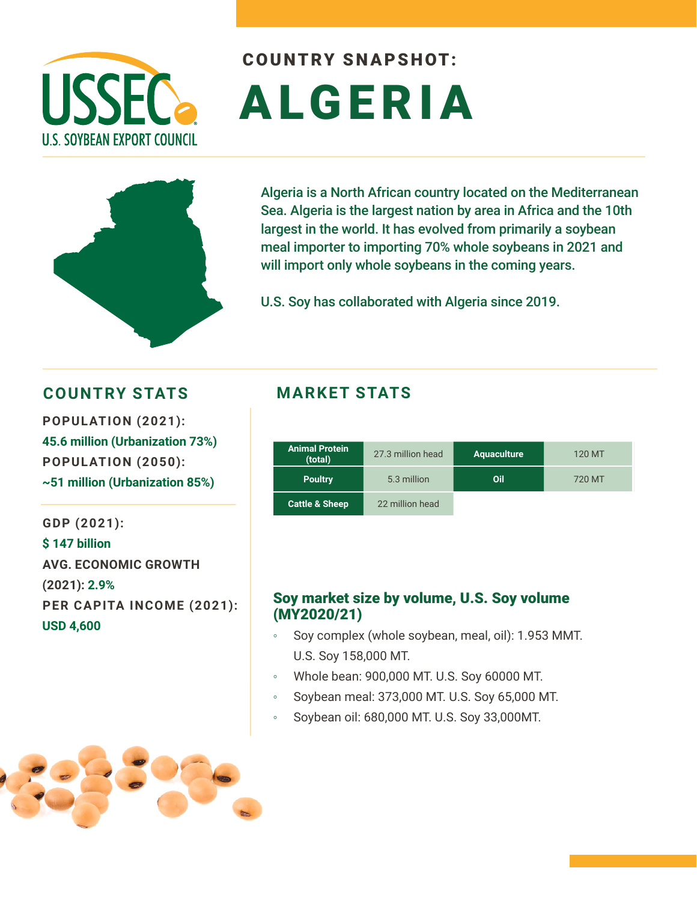

# COUNTRY SNAPSHOT: ALGERIA



Algeria is a North African country located on the Mediterranean Sea. Algeria is the largest nation by area in Africa and the 10th largest in the world. It has evolved from primarily a soybean meal importer to importing 70% whole soybeans in 2021 and will import only whole soybeans in the coming years.

U.S. Soy has collaborated with Algeria since 2019.

### **COUNTRY STATS MARKET STATS**

**POPULATION (2021): 45.6 million (Urbanization 73%) POPULATION (2050): ~51 million (Urbanization 85%)** 

**GDP (2021): \$ 147 billion AVG. ECONOMIC GROWTH (2021): 2.9% PER CAPITA INCOME (2021): USD 4,600**

| <b>Animal Protein</b><br>(total) | 27.3 million head | <b>Aquaculture</b> | 120 MT |
|----------------------------------|-------------------|--------------------|--------|
| <b>Poultry</b>                   | 5.3 million       | Oil                | 720 MT |
| <b>Cattle &amp; Sheep</b>        | 22 million head   |                    |        |

#### Soy market size by volume, U.S. Soy volume (MY2020/21)

- Soy complex (whole soybean, meal, oil): 1.953 MMT. U.S. Soy 158,000 MT.
- Whole bean: 900,000 MT. U.S. Soy 60000 MT.
- Soybean meal: 373,000 MT. U.S. Soy 65,000 MT.
- Soybean oil: 680,000 MT. U.S. Soy 33,000MT.